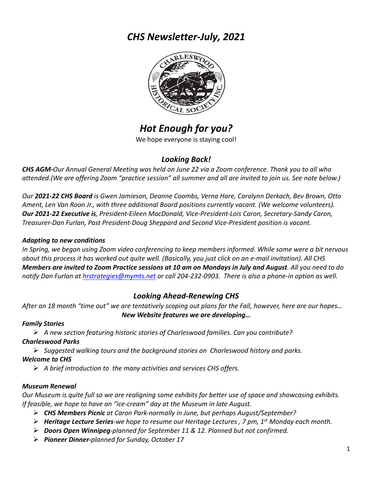## *CHS Newsletter-July, 2021*



# *Hot Enough for you?*

We hope everyone is staying cool!

## *Looking Back!*

*CHS AGM-Our Annual General Meeting was held on June 22 via a Zoom conference. Thank you to all who attended.(We are offering Zoom "practice session" all summer and all are invited to join us. See note below.)*

*Our 2021-22 CHS Board is Gwen Jamieson, Deanne Coombs, Verna Hare, Carolynn Derkach, Bev Brown, Otto Ament, Len Van Roon Jr., with three additional Board positions currently vacant. (We welcome volunteers). Our 2021-22 Executive is, President-Eileen MacDonald, Vice-President-Lois Caron, Secretary-Sandy Caron, Treasurer-Dan Furlan, Past President-Doug Sheppard and Second Vice-President position is vacant.*

## *Adapting to new conditions*

*In Spring, we began using Zoom video conferencing to keep members informed. While some were a bit nervous about this process it has worked out quite well. (Basically, you just click on an e-mail invitation). All CHS Members are invited to Zoom Practice sessions at 10 am on Mondays in July and August. All you need to do notify Dan Furlan at hrstrategies@mymts.net or call 204-232-0903. There is also a phone-in option as well.*

## *Looking Ahead-Renewing CHS*

*After an 18 month "time out" we are tentatively scoping out plans for the Fall, however, here are our hopes… New Website features we are developing…*

#### *Family Stories*

Ø *A new section featuring historic stories of Charleswood families. Can you contribute?*

#### *Charleswood Parks*

Ø *Suggested walking tours and the background stories on Charleswood history and parks.*

## *Welcome to CHS*

Ø *A brief introduction to the many activities and services CHS offers.*

## *Museum Renewal*

*Our Museum is quite full so we are realigning some exhibits for better use of space and showcasing exhibits. If feasible, we hope to have an "ice-cream" day at the Museum in late August.* 

- Ø *CHS Members Picnic at Caron Park-normally in June, but perhaps August/September?*
- Ø *Heritage Lecture Series-we hope to resume our Heritage Lectures , 7 pm, 1st Monday each month.*
- Ø *Doors Open Winnipeg-planned for September 11 & 12. Planned but not confirmed.*
- Ø *Pioneer Dinner-planned for Sunday, October 17*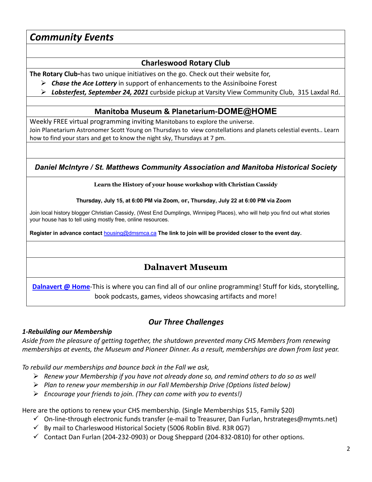## *Community Events*

## **Charleswood Rotary Club**

**The Rotary Club-**has two unique initiatives on the go. Check out their website for,

- Ø *Chase the Ace Lottery* in support of enhancements to the Assiniboine Forest
- Ø *Lobsterfest, September 24, 2021* curbside pickup at Varsity View Community Club, 315 Laxdal Rd.

#### **Manitoba Museum & Planetarium-DOME@HOME**

Weekly FREE virtual programming inviting Manitobans to explore the universe. Join Planetarium Astronomer Scott Young on Thursdays to view constellations and planets celestial events.. Learn how to find your stars and get to know the night sky, Thursdays at 7 pm.

## *Daniel McIntyre / St. Matthews Community Association and Manitoba Historical Society*

#### **Learn the History of your house workshop with Christian Cassidy**

**Thursday, July 15, at 6:00 PM via Zoom, or, Thursday, July 22 at 6:00 PM via Zoom**

Join local history blogger Christian Cassidy, (West End Dumplings, Winnipeg Places), who will help you find out what stories your house has to tell using mostly free, online resources.

**Register in advance contact** housing@dmsmca.ca **The link to join will be provided closer to the event day.**

## **Dalnavert Museum**

**Dalnavert @ Home**-This is where you can find all of our online programming! Stuff for kids, storytelling, book podcasts, games, videos showcasing artifacts and more!

## *Our Three Challenges*

#### *1-Rebuilding our Membership*

*Aside from the pleasure of getting together, the shutdown prevented many CHS Members from renewing memberships at events, the Museum and Pioneer Dinner. As a result, memberships are down from last year.* 

*To rebuild our memberships and bounce back in the Fall we ask,*

- Ø *Renew your Membership if you have not already done so, and remind others to do so as well*
- Ø *Plan to renew your membership in our Fall Membership Drive (Options listed below)*
- Ø *Encourage your friends to join. (They can come with you to events!)*

Here are the options to renew your CHS membership. (Single Memberships \$15, Family \$20)

- $\checkmark$  On-line-through electronic funds transfer (e-mail to Treasurer, Dan Furlan, hrstrateges@mymts.net)
- $\checkmark$  By mail to Charleswood Historical Society (5006 Roblin Blvd. R3R 0G7)
- $\checkmark$  Contact Dan Furlan (204-232-0903) or Doug Sheppard (204-832-0810) for other options.